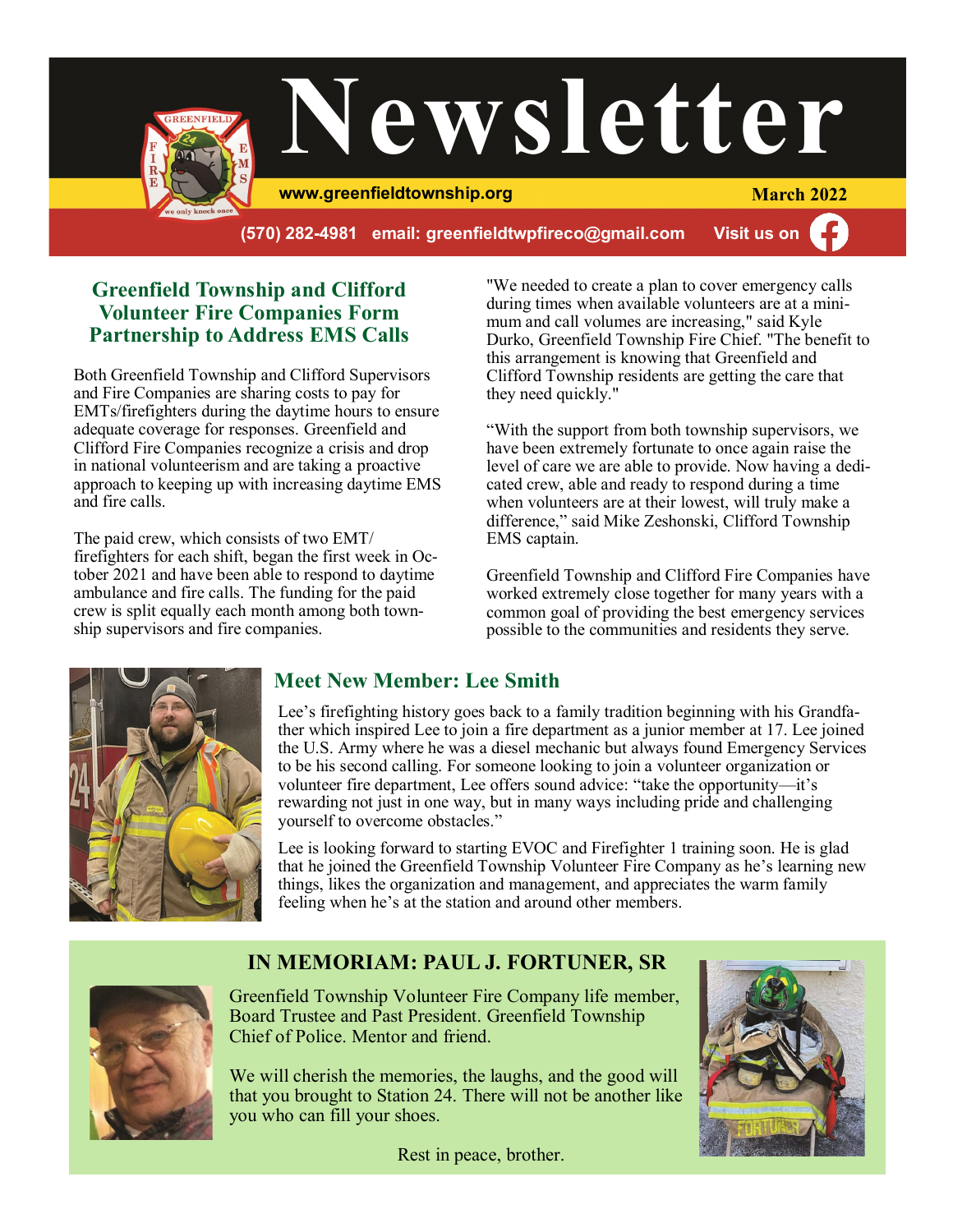

**(570) 282-4981 email: greenfieldtwpfireco@gmail.com Visit us on**

### **Greenfield Township and Clifford Volunteer Fire Companies Form Partnership to Address EMS Calls**

Both Greenfield Township and Clifford Supervisors and Fire Companies are sharing costs to pay for EMTs/firefighters during the daytime hours to ensure adequate coverage for responses. Greenfield and Clifford Fire Companies recognize a crisis and drop in national volunteerism and are taking a proactive approach to keeping up with increasing daytime EMS and fire calls.

The paid crew, which consists of two EMT/ firefighters for each shift, began the first week in October 2021 and have been able to respond to daytime ambulance and fire calls. The funding for the paid crew is split equally each month among both township supervisors and fire companies.

"We needed to create a plan to cover emergency calls during times when available volunteers are at a minimum and call volumes are increasing," said Kyle Durko, Greenfield Township Fire Chief. "The benefit to this arrangement is knowing that Greenfield and Clifford Township residents are getting the care that they need quickly."

"With the support from both township supervisors, we have been extremely fortunate to once again raise the level of care we are able to provide. Now having a dedicated crew, able and ready to respond during a time when volunteers are at their lowest, will truly make a difference," said Mike Zeshonski, Clifford Township EMS captain.

Greenfield Township and Clifford Fire Companies have worked extremely close together for many years with a common goal of providing the best emergency services possible to the communities and residents they serve.



### **Meet New Member: Lee Smith**

Lee's firefighting history goes back to a family tradition beginning with his Grandfather which inspired Lee to join a fire department as a junior member at 17. Lee joined the U.S. Army where he was a diesel mechanic but always found Emergency Services to be his second calling. For someone looking to join a volunteer organization or volunteer fire department, Lee offers sound advice: "take the opportunity—it's rewarding not just in one way, but in many ways including pride and challenging yourself to overcome obstacles."

Lee is looking forward to starting EVOC and Firefighter 1 training soon. He is glad that he joined the Greenfield Township Volunteer Fire Company as he's learning new things, likes the organization and management, and appreciates the warm family feeling when he's at the station and around other members.

## **IN MEMORIAM: PAUL J. FORTUNER, SR**



Greenfield Township Volunteer Fire Company life member, Board Trustee and Past President. Greenfield Township Chief of Police. Mentor and friend.

We will cherish the memories, the laughs, and the good will that you brought to Station 24. There will not be another like you who can fill your shoes.

Rest in peace, brother.